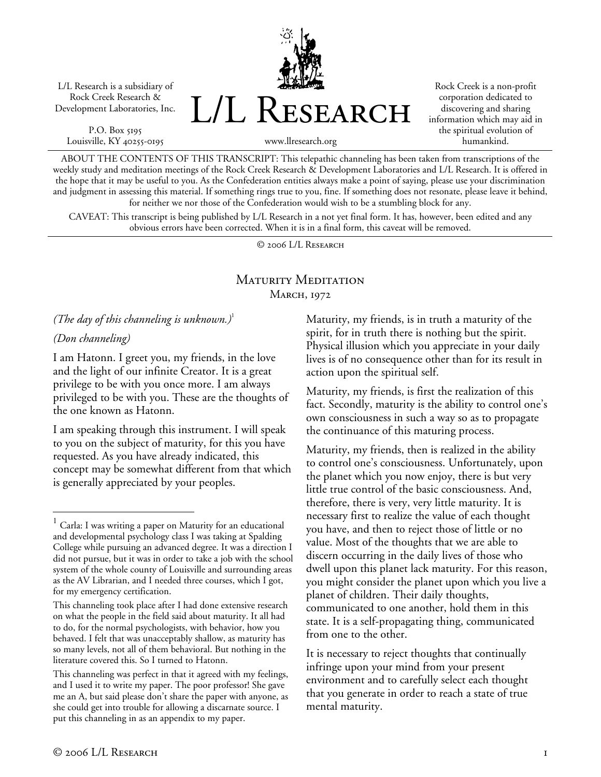L/L Research is a subsidiary of Rock Creek Research & Development Laboratories, Inc.

P.O. Box 5195 Louisville, KY 40255-0195 L/L Research

Rock Creek is a non-profit corporation dedicated to discovering and sharing information which may aid in the spiritual evolution of humankind.

www.llresearch.org

ABOUT THE CONTENTS OF THIS TRANSCRIPT: This telepathic channeling has been taken from transcriptions of the weekly study and meditation meetings of the Rock Creek Research & Development Laboratories and L/L Research. It is offered in the hope that it may be useful to you. As the Confederation entities always make a point of saying, please use your discrimination and judgment in assessing this material. If something rings true to you, fine. If something does not resonate, please leave it behind, for neither we nor those of the Confederation would wish to be a stumbling block for any.

CAVEAT: This transcript is being published by L/L Research in a not yet final form. It has, however, been edited and any obvious errors have been corrected. When it is in a final form, this caveat will be removed.

© 2006 L/L Research

# Maturity Meditation MARCH, 1972

*(The day of this channeling is unknown.)*<sup>1</sup>

## *(Don channeling)*

 $\overline{a}$ 

I am Hatonn. I greet you, my friends, in the love and the light of our infinite Creator. It is a great privilege to be with you once more. I am always privileged to be with you. These are the thoughts of the one known as Hatonn.

I am speaking through this instrument. I will speak to you on the subject of maturity, for this you have requested. As you have already indicated, this concept may be somewhat different from that which is generally appreciated by your peoples.

Maturity, my friends, is in truth a maturity of the spirit, for in truth there is nothing but the spirit. Physical illusion which you appreciate in your daily lives is of no consequence other than for its result in action upon the spiritual self.

Maturity, my friends, is first the realization of this fact. Secondly, maturity is the ability to control one's own consciousness in such a way so as to propagate the continuance of this maturing process.

Maturity, my friends, then is realized in the ability to control one's consciousness. Unfortunately, upon the planet which you now enjoy, there is but very little true control of the basic consciousness. And, therefore, there is very, very little maturity. It is necessary first to realize the value of each thought you have, and then to reject those of little or no value. Most of the thoughts that we are able to discern occurring in the daily lives of those who dwell upon this planet lack maturity. For this reason, you might consider the planet upon which you live a planet of children. Their daily thoughts, communicated to one another, hold them in this state. It is a self-propagating thing, communicated from one to the other.

It is necessary to reject thoughts that continually infringe upon your mind from your present environment and to carefully select each thought that you generate in order to reach a state of true mental maturity.

Carla: I was writing a paper on Maturity for an educational and developmental psychology class I was taking at Spalding College while pursuing an advanced degree. It was a direction I did not pursue, but it was in order to take a job with the school system of the whole county of Louisville and surrounding areas as the AV Librarian, and I needed three courses, which I got, for my emergency certification.

This channeling took place after I had done extensive research on what the people in the field said about maturity. It all had to do, for the normal psychologists, with behavior, how you behaved. I felt that was unacceptably shallow, as maturity has so many levels, not all of them behavioral. But nothing in the literature covered this. So I turned to Hatonn.

This channeling was perfect in that it agreed with my feelings, and I used it to write my paper. The poor professor! She gave me an A, but said please don't share the paper with anyone, as she could get into trouble for allowing a discarnate source. I put this channeling in as an appendix to my paper.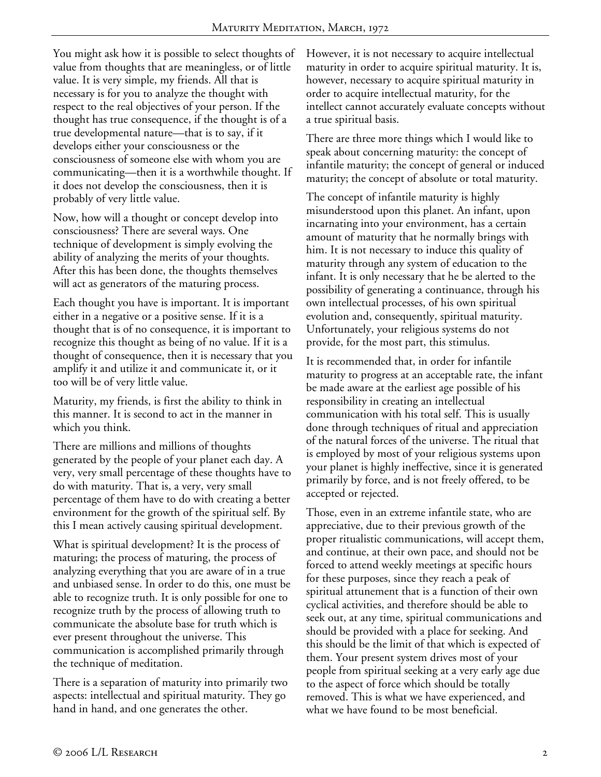You might ask how it is possible to select thoughts of value from thoughts that are meaningless, or of little value. It is very simple, my friends. All that is necessary is for you to analyze the thought with respect to the real objectives of your person. If the thought has true consequence, if the thought is of a true developmental nature—that is to say, if it develops either your consciousness or the consciousness of someone else with whom you are communicating—then it is a worthwhile thought. If it does not develop the consciousness, then it is probably of very little value.

Now, how will a thought or concept develop into consciousness? There are several ways. One technique of development is simply evolving the ability of analyzing the merits of your thoughts. After this has been done, the thoughts themselves will act as generators of the maturing process.

Each thought you have is important. It is important either in a negative or a positive sense. If it is a thought that is of no consequence, it is important to recognize this thought as being of no value. If it is a thought of consequence, then it is necessary that you amplify it and utilize it and communicate it, or it too will be of very little value.

Maturity, my friends, is first the ability to think in this manner. It is second to act in the manner in which you think.

There are millions and millions of thoughts generated by the people of your planet each day. A very, very small percentage of these thoughts have to do with maturity. That is, a very, very small percentage of them have to do with creating a better environment for the growth of the spiritual self. By this I mean actively causing spiritual development.

What is spiritual development? It is the process of maturing; the process of maturing, the process of analyzing everything that you are aware of in a true and unbiased sense. In order to do this, one must be able to recognize truth. It is only possible for one to recognize truth by the process of allowing truth to communicate the absolute base for truth which is ever present throughout the universe. This communication is accomplished primarily through the technique of meditation.

There is a separation of maturity into primarily two aspects: intellectual and spiritual maturity. They go hand in hand, and one generates the other.

However, it is not necessary to acquire intellectual maturity in order to acquire spiritual maturity. It is, however, necessary to acquire spiritual maturity in order to acquire intellectual maturity, for the intellect cannot accurately evaluate concepts without a true spiritual basis.

There are three more things which I would like to speak about concerning maturity: the concept of infantile maturity; the concept of general or induced maturity; the concept of absolute or total maturity.

The concept of infantile maturity is highly misunderstood upon this planet. An infant, upon incarnating into your environment, has a certain amount of maturity that he normally brings with him. It is not necessary to induce this quality of maturity through any system of education to the infant. It is only necessary that he be alerted to the possibility of generating a continuance, through his own intellectual processes, of his own spiritual evolution and, consequently, spiritual maturity. Unfortunately, your religious systems do not provide, for the most part, this stimulus.

It is recommended that, in order for infantile maturity to progress at an acceptable rate, the infant be made aware at the earliest age possible of his responsibility in creating an intellectual communication with his total self. This is usually done through techniques of ritual and appreciation of the natural forces of the universe. The ritual that is employed by most of your religious systems upon your planet is highly ineffective, since it is generated primarily by force, and is not freely offered, to be accepted or rejected.

Those, even in an extreme infantile state, who are appreciative, due to their previous growth of the proper ritualistic communications, will accept them, and continue, at their own pace, and should not be forced to attend weekly meetings at specific hours for these purposes, since they reach a peak of spiritual attunement that is a function of their own cyclical activities, and therefore should be able to seek out, at any time, spiritual communications and should be provided with a place for seeking. And this should be the limit of that which is expected of them. Your present system drives most of your people from spiritual seeking at a very early age due to the aspect of force which should be totally removed. This is what we have experienced, and what we have found to be most beneficial.